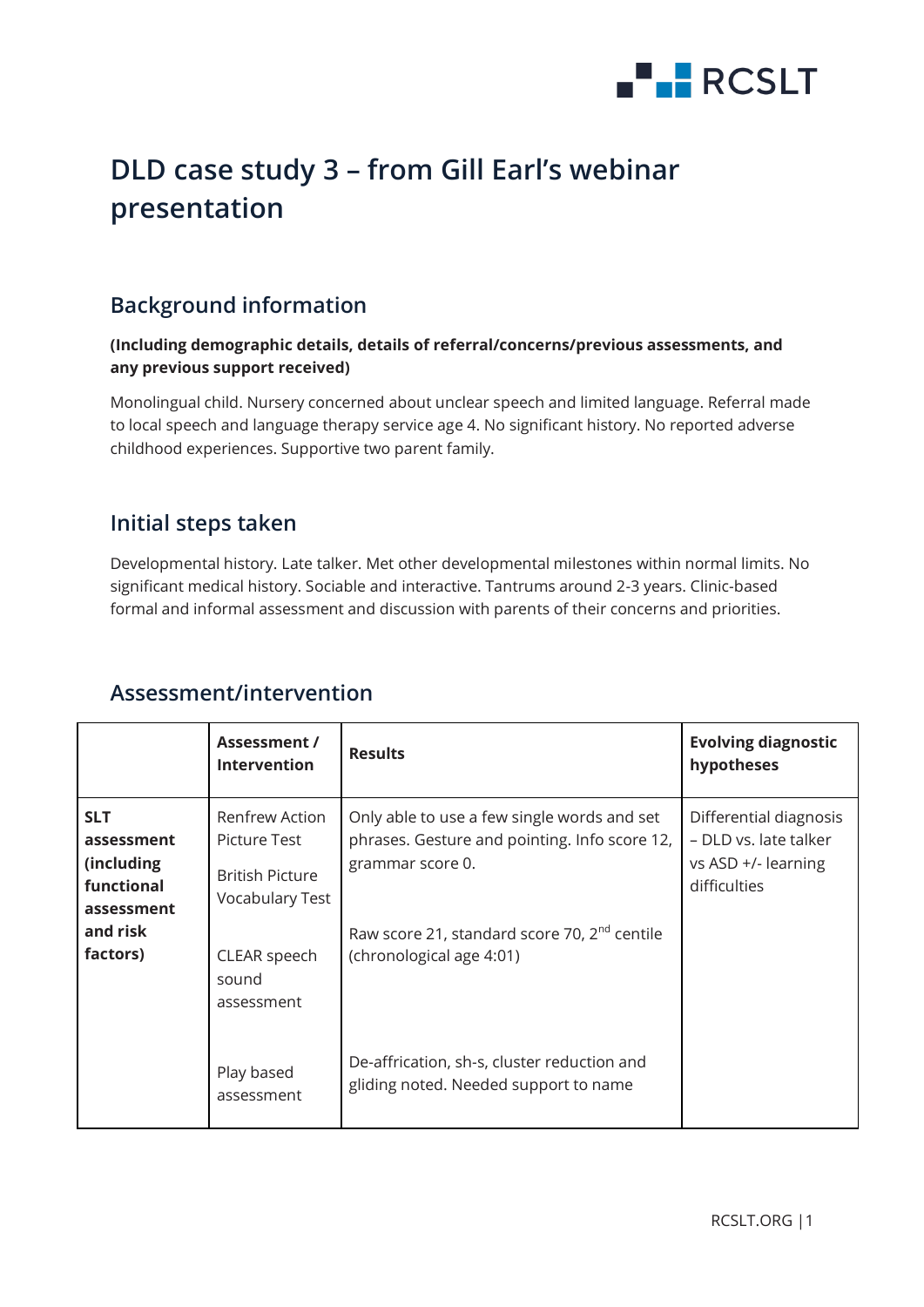

# **DLD case study 3 – from Gill Earl's webinar presentation**

# **Background information**

#### **(Including demographic details, details of referral/concerns/previous assessments, and any previous support received)**

Monolingual child. Nursery concerned about unclear speech and limited language. Referral made to local speech and language therapy service age 4. No significant history. No reported adverse childhood experiences. Supportive two parent family.

### **Initial steps taken**

Developmental history. Late talker. Met other developmental milestones within normal limits. No significant medical history. Sociable and interactive. Tantrums around 2-3 years. Clinic-based formal and informal assessment and discussion with parents of their concerns and priorities.

|                                                                                            | Assessment /<br><b>Intervention</b>                                                                                       | <b>Results</b>                                                                                                                                                                                           | <b>Evolving diagnostic</b><br>hypotheses                                               |
|--------------------------------------------------------------------------------------------|---------------------------------------------------------------------------------------------------------------------------|----------------------------------------------------------------------------------------------------------------------------------------------------------------------------------------------------------|----------------------------------------------------------------------------------------|
| <b>SLT</b><br>assessment<br>(including<br>functional<br>assessment<br>and risk<br>factors) | Renfrew Action<br>Picture Test<br><b>British Picture</b><br><b>Vocabulary Test</b><br>CLEAR speech<br>sound<br>assessment | Only able to use a few single words and set<br>phrases. Gesture and pointing. Info score 12,<br>grammar score 0.<br>Raw score 21, standard score 70, 2 <sup>nd</sup> centile<br>(chronological age 4:01) | Differential diagnosis<br>– DLD vs. late talker<br>vs ASD +/- learning<br>difficulties |
|                                                                                            | Play based<br>assessment                                                                                                  | De-affrication, sh-s, cluster reduction and<br>gliding noted. Needed support to name                                                                                                                     |                                                                                        |

# **Assessment/intervention**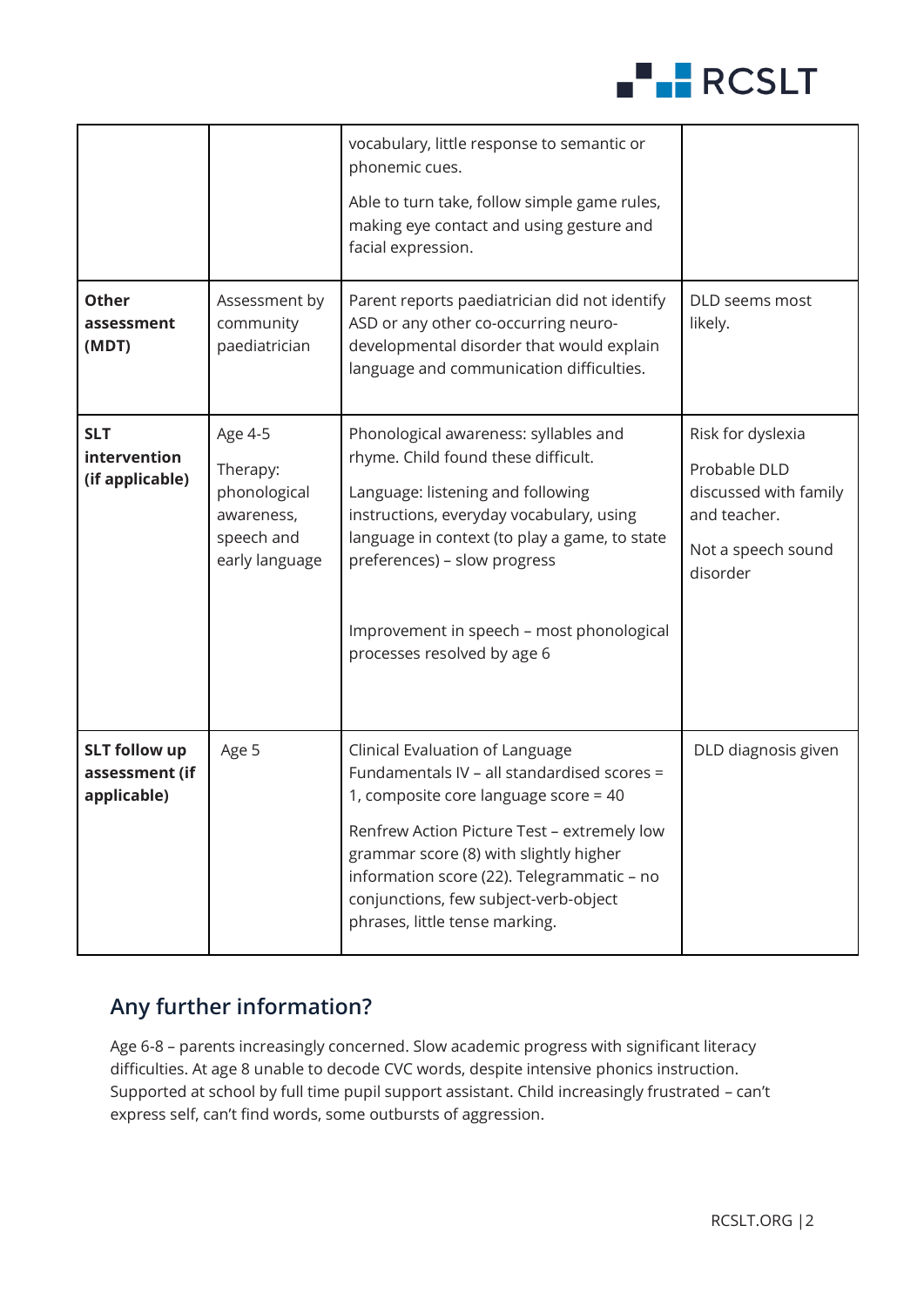

|                                                       |                                                                                   | vocabulary, little response to semantic or<br>phonemic cues.<br>Able to turn take, follow simple game rules,<br>making eye contact and using gesture and<br>facial expression.                                                                                                                                                            |                                                                                                              |
|-------------------------------------------------------|-----------------------------------------------------------------------------------|-------------------------------------------------------------------------------------------------------------------------------------------------------------------------------------------------------------------------------------------------------------------------------------------------------------------------------------------|--------------------------------------------------------------------------------------------------------------|
| <b>Other</b><br>assessment<br>(MDT)                   | Assessment by<br>community<br>paediatrician                                       | Parent reports paediatrician did not identify<br>ASD or any other co-occurring neuro-<br>developmental disorder that would explain<br>language and communication difficulties.                                                                                                                                                            | DLD seems most<br>likely.                                                                                    |
| <b>SLT</b><br>intervention<br>(if applicable)         | Age 4-5<br>Therapy:<br>phonological<br>awareness,<br>speech and<br>early language | Phonological awareness: syllables and<br>rhyme. Child found these difficult.<br>Language: listening and following<br>instructions, everyday vocabulary, using<br>language in context (to play a game, to state<br>preferences) - slow progress<br>Improvement in speech - most phonological<br>processes resolved by age 6                | Risk for dyslexia<br>Probable DLD<br>discussed with family<br>and teacher.<br>Not a speech sound<br>disorder |
| <b>SLT follow up</b><br>assessment (if<br>applicable) | Age 5                                                                             | Clinical Evaluation of Language<br>Fundamentals IV - all standardised scores =<br>1, composite core language score = 40<br>Renfrew Action Picture Test - extremely low<br>grammar score (8) with slightly higher<br>information score (22). Telegrammatic - no<br>conjunctions, few subject-verb-object<br>phrases, little tense marking. | DLD diagnosis given                                                                                          |

# **Any further information?**

Age 6-8 – parents increasingly concerned. Slow academic progress with significant literacy difficulties. At age 8 unable to decode CVC words, despite intensive phonics instruction. Supported at school by full time pupil support assistant. Child increasingly frustrated – can't express self, can't find words, some outbursts of aggression.